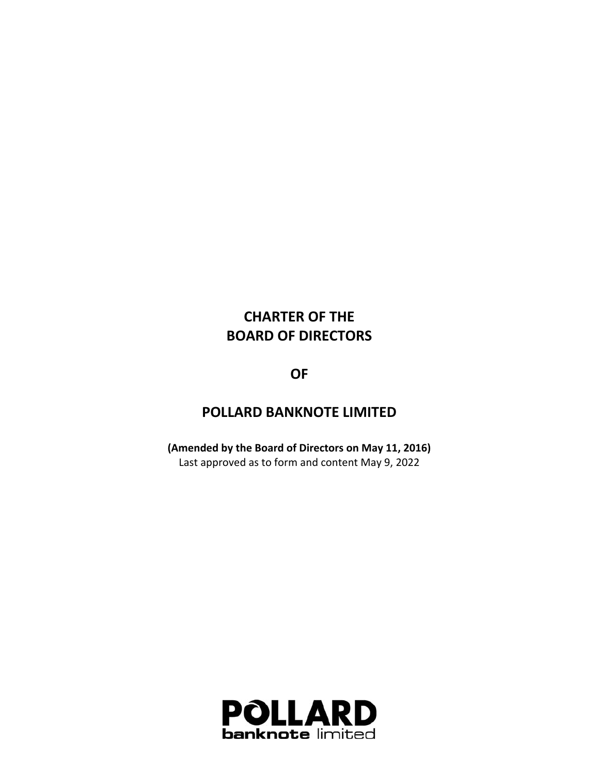# **CHARTER OF THE BOARD OF DIRECTORS**

**OF** 

## **POLLARD BANKNOTE LIMITED**

**(Amended by the Board of Directors on May 11, 2016)**  Last approved as to form and content May 9, 2022

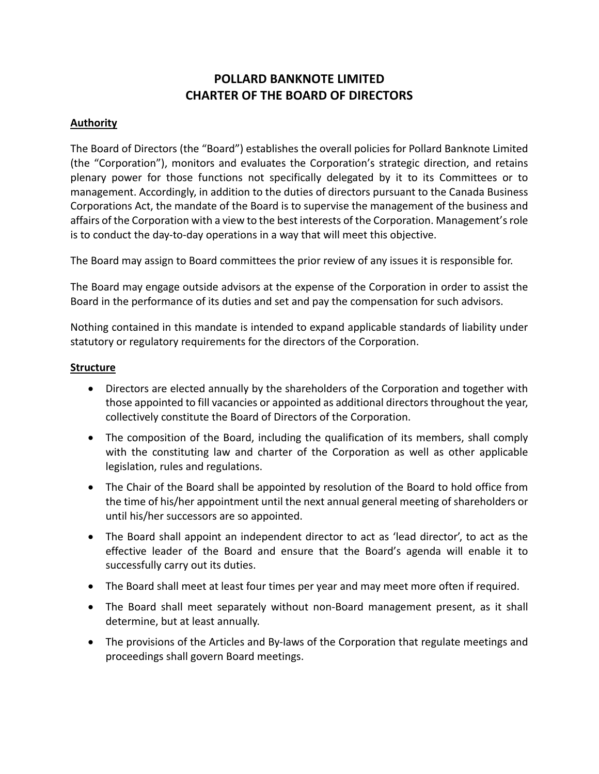### **POLLARD BANKNOTE LIMITED CHARTER OF THE BOARD OF DIRECTORS**

#### **Authority**

The Board of Directors (the "Board") establishes the overall policies for Pollard Banknote Limited (the "Corporation"), monitors and evaluates the Corporation's strategic direction, and retains plenary power for those functions not specifically delegated by it to its Committees or to management. Accordingly, in addition to the duties of directors pursuant to the Canada Business Corporations Act, the mandate of the Board is to supervise the management of the business and affairs of the Corporation with a view to the best interests of the Corporation. Management's role is to conduct the day‐to‐day operations in a way that will meet this objective.

The Board may assign to Board committees the prior review of any issues it is responsible for.

The Board may engage outside advisors at the expense of the Corporation in order to assist the Board in the performance of its duties and set and pay the compensation for such advisors.

Nothing contained in this mandate is intended to expand applicable standards of liability under statutory or regulatory requirements for the directors of the Corporation.

#### **Structure**

- Directors are elected annually by the shareholders of the Corporation and together with those appointed to fill vacancies or appointed as additional directors throughout the year, collectively constitute the Board of Directors of the Corporation.
- The composition of the Board, including the qualification of its members, shall comply with the constituting law and charter of the Corporation as well as other applicable legislation, rules and regulations.
- The Chair of the Board shall be appointed by resolution of the Board to hold office from the time of his/her appointment until the next annual general meeting of shareholders or until his/her successors are so appointed.
- The Board shall appoint an independent director to act as 'lead director', to act as the effective leader of the Board and ensure that the Board's agenda will enable it to successfully carry out its duties.
- The Board shall meet at least four times per year and may meet more often if required.
- The Board shall meet separately without non-Board management present, as it shall determine, but at least annually.
- The provisions of the Articles and By-laws of the Corporation that regulate meetings and proceedings shall govern Board meetings.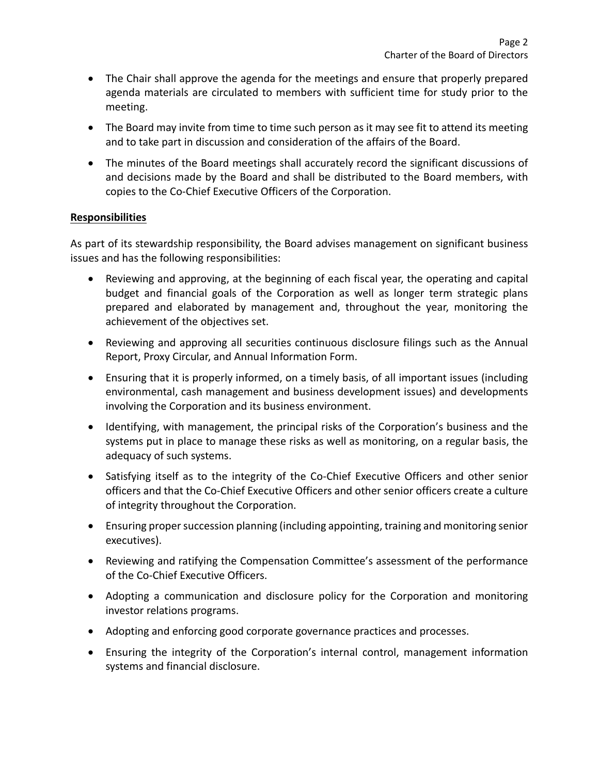- The Chair shall approve the agenda for the meetings and ensure that properly prepared agenda materials are circulated to members with sufficient time for study prior to the meeting.
- The Board may invite from time to time such person as it may see fit to attend its meeting and to take part in discussion and consideration of the affairs of the Board.
- The minutes of the Board meetings shall accurately record the significant discussions of and decisions made by the Board and shall be distributed to the Board members, with copies to the Co‐Chief Executive Officers of the Corporation.

#### **Responsibilities**

As part of its stewardship responsibility, the Board advises management on significant business issues and has the following responsibilities:

- Reviewing and approving, at the beginning of each fiscal year, the operating and capital budget and financial goals of the Corporation as well as longer term strategic plans prepared and elaborated by management and, throughout the year, monitoring the achievement of the objectives set.
- Reviewing and approving all securities continuous disclosure filings such as the Annual Report, Proxy Circular, and Annual Information Form.
- Ensuring that it is properly informed, on a timely basis, of all important issues (including environmental, cash management and business development issues) and developments involving the Corporation and its business environment.
- Identifying, with management, the principal risks of the Corporation's business and the systems put in place to manage these risks as well as monitoring, on a regular basis, the adequacy of such systems.
- Satisfying itself as to the integrity of the Co-Chief Executive Officers and other senior officers and that the Co‐Chief Executive Officers and other senior officers create a culture of integrity throughout the Corporation.
- Ensuring proper succession planning (including appointing, training and monitoring senior executives).
- Reviewing and ratifying the Compensation Committee's assessment of the performance of the Co‐Chief Executive Officers.
- Adopting a communication and disclosure policy for the Corporation and monitoring investor relations programs.
- Adopting and enforcing good corporate governance practices and processes.
- Ensuring the integrity of the Corporation's internal control, management information systems and financial disclosure.